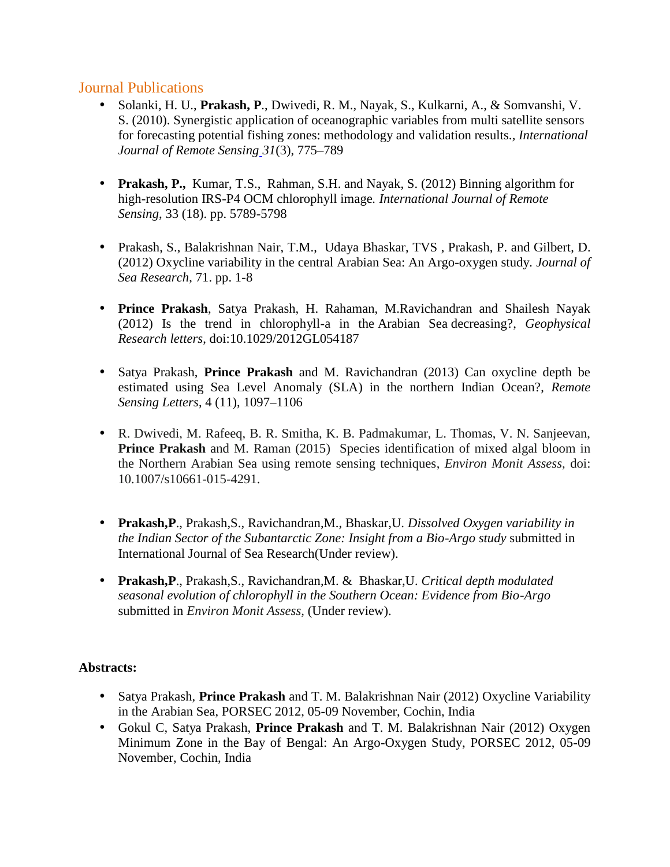## Journal Publications

- Solanki, H. U., **Prakash, P**., Dwivedi, R. M., Nayak, S., Kulkarni, A., & Somvanshi, V. S. (2010). Synergistic application of oceanographic variables from multi satellite sensors for forecasting potential fishing zones: methodology and validation results.*, International Journal of Remote Sensing 31*(3), 775–789
- **Prakash, P.,** Kumar, T.S., Rahman, S.H. and Nayak, S. (2012) Binning algorithm for high-resolution IRS-P4 OCM chlorophyll image*. International Journal of Remote Sensing*, 33 (18). pp. 5789-5798
- Prakash, S., Balakrishnan Nair, T.M., Udaya Bhaskar, TVS , Prakash, P. and Gilbert, D. (2012) Oxycline variability in the central Arabian Sea: An Argo-oxygen study*. Journal of Sea Research*, 71. pp. 1-8
- **Prince Prakash**, Satya Prakash, H. Rahaman, M.Ravichandran and Shailesh Nayak (2012) Is the trend in chlorophyll-a in the Arabian Sea decreasing?, *Geophysical Research letters*, doi:10.1029/2012GL054187
- Satya Prakash, **Prince Prakash** and M. Ravichandran (2013) Can oxycline depth be estimated using Sea Level Anomaly (SLA) in the northern Indian Ocean?, *Remote Sensing Letters*, 4 (11), 1097–1106
- R. Dwivedi, M. Rafeeq, B. R. Smitha, K. B. Padmakumar, L. Thomas, V. N. Sanjeevan, **Prince Prakash** and M. Raman (2015) Species identification of mixed algal bloom in the Northern Arabian Sea using remote sensing techniques, *Environ Monit Assess,* doi: 10.1007/s10661-015-4291.
- **Prakash,P**., Prakash,S., Ravichandran,M., Bhaskar,U. *Dissolved Oxygen variability in the Indian Sector of the Subantarctic Zone: Insight from a Bio-Argo study* submitted in International Journal of Sea Research(Under review).
- **Prakash,P**., Prakash,S., Ravichandran,M. & Bhaskar,U. *Critical depth modulated seasonal evolution of chlorophyll in the Southern Ocean: Evidence from Bio-Argo* submitted in *Environ Monit Assess,* (Under review).

## **Abstracts:**

- Satya Prakash, **Prince Prakash** and T. M. Balakrishnan Nair (2012) Oxycline Variability in the Arabian Sea, PORSEC 2012, 05-09 November, Cochin, India
- Gokul C, Satya Prakash, **Prince Prakash** and T. M. Balakrishnan Nair (2012) Oxygen Minimum Zone in the Bay of Bengal: An Argo-Oxygen Study, PORSEC 2012, 05-09 November, Cochin, India